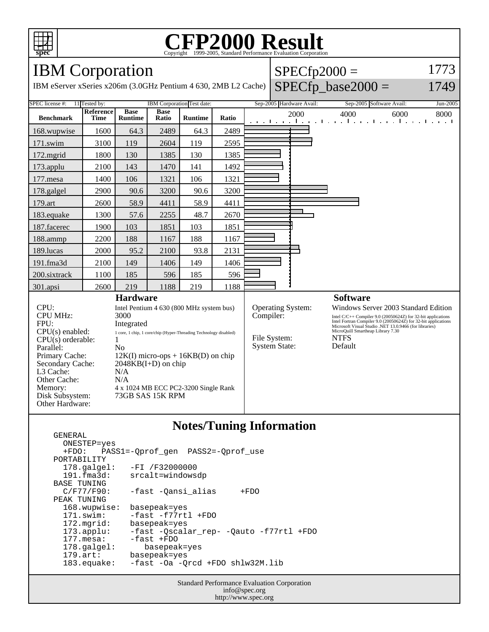

## C<sub>opyright</sub> ©1999-2005, Standard Performance Evaluation Corporation

IBM Corporation

IBM eServer xSeries x206m (3.0GHz Pentium 4 630, 2MB L2 Ca

| $ $ SPECfp2000 =          | 1773 |
|---------------------------|------|
| che) $SPECfp\_base2000 =$ | 1749 |

| SPEC license #:                                                                                                    | 11 Tested by:                        |                                          |                      | IBM Corporation Test date:  |                          | Sep-2005 Hardware Avail: |                                      |                                                                                                                                                                                                                                                       | Sep-2005 Software Avail:<br>Jun-2005 |  |
|--------------------------------------------------------------------------------------------------------------------|--------------------------------------|------------------------------------------|----------------------|-----------------------------|--------------------------|--------------------------|--------------------------------------|-------------------------------------------------------------------------------------------------------------------------------------------------------------------------------------------------------------------------------------------------------|--------------------------------------|--|
| <b>Benchmark</b>                                                                                                   | <b>Reference</b><br><b>Time</b>      | <b>Base</b><br><b>Runtime</b>            | <b>Base</b><br>Ratio | <b>Runtime</b>              | Ratio                    |                          | 2000                                 | 4000<br>6000<br>8000<br>and the main band of the main band of the main band of the main band of the main band of the main band of the main band of the main band of the main band of the main band of the main band of the main band of the main band |                                      |  |
| 168.wupwise                                                                                                        | 1600                                 | 64.3                                     | 2489                 | 64.3                        | 2489                     |                          |                                      |                                                                                                                                                                                                                                                       |                                      |  |
| 171.swim                                                                                                           | 3100                                 | 119                                      | 2604                 | 119                         | 2595                     |                          |                                      |                                                                                                                                                                                                                                                       |                                      |  |
| $172$ .mgrid                                                                                                       | 1800                                 | 130                                      | 1385                 | 130                         | 1385                     |                          |                                      |                                                                                                                                                                                                                                                       |                                      |  |
| $173$ .applu                                                                                                       | 2100                                 | 143                                      | 1470                 | 141                         | 1492                     |                          |                                      |                                                                                                                                                                                                                                                       |                                      |  |
| 177.mesa                                                                                                           | 1400                                 | 106                                      | 1321                 | 106                         | 1321                     |                          |                                      |                                                                                                                                                                                                                                                       |                                      |  |
| 178.galgel                                                                                                         | 2900                                 | 90.6                                     | 3200                 | 90.6                        | 3200                     |                          |                                      |                                                                                                                                                                                                                                                       |                                      |  |
| 179.art                                                                                                            | 2600                                 | 58.9                                     | 4411                 | 58.9                        | 4411                     |                          |                                      |                                                                                                                                                                                                                                                       |                                      |  |
| 183.equake                                                                                                         | 1300                                 | 57.6                                     | 2255                 | 48.7                        | 2670                     |                          |                                      |                                                                                                                                                                                                                                                       |                                      |  |
| 187.facerec                                                                                                        | 1900                                 | 103                                      | 1851                 | 103                         | 1851                     |                          |                                      |                                                                                                                                                                                                                                                       |                                      |  |
| 188.ammp                                                                                                           | 2200                                 | 188                                      | 1167                 | 188                         | 1167                     |                          |                                      |                                                                                                                                                                                                                                                       |                                      |  |
| 189.lucas                                                                                                          | 2000                                 | 95.2                                     | 2100                 | 93.8                        | 2131                     |                          |                                      |                                                                                                                                                                                                                                                       |                                      |  |
| 191.fma3d                                                                                                          | 2100                                 | 149                                      | 1406                 | 149                         | 1406                     |                          |                                      |                                                                                                                                                                                                                                                       |                                      |  |
| 200.sixtrack                                                                                                       | 1100                                 | 185                                      | 596                  | 185                         | 596                      |                          |                                      |                                                                                                                                                                                                                                                       |                                      |  |
| 301.apsi                                                                                                           | 2600                                 | 219                                      | 1188                 | 219                         | 1188                     |                          |                                      |                                                                                                                                                                                                                                                       |                                      |  |
| <b>Hardware</b>                                                                                                    |                                      |                                          |                      |                             |                          | <b>Software</b>          |                                      |                                                                                                                                                                                                                                                       |                                      |  |
| CPU:                                                                                                               |                                      | Intel Pentium 4 630 (800 MHz system bus) |                      |                             | <b>Operating System:</b> |                          | Windows Server 2003 Standard Edition |                                                                                                                                                                                                                                                       |                                      |  |
| <b>CPU MHz:</b>                                                                                                    |                                      | 3000                                     |                      |                             |                          | Compiler:                |                                      | Intel C/C++ Compiler 9.0 (20050624Z) for 32-bit applications<br>Intel Fortran Compiler 9.0 (20050624Z) for 32-bit applications<br>Microsoft Visual Studio .NET 13.0.9466 (for libraries)                                                              |                                      |  |
| FPU:<br>Integrated                                                                                                 |                                      |                                          |                      |                             |                          |                          | MicroQuill Smartheap Library 7.30    |                                                                                                                                                                                                                                                       |                                      |  |
| $CPU(s)$ enabled:<br>1 core, 1 chip, 1 core/chip (Hyper-Threading Technology disabled)<br>$CPU(s)$ orderable:<br>1 |                                      |                                          |                      | <b>NTFS</b><br>File System: |                          |                          |                                      |                                                                                                                                                                                                                                                       |                                      |  |
| Parallel:                                                                                                          | No                                   |                                          |                      |                             | <b>System State:</b>     |                          | Default                              |                                                                                                                                                                                                                                                       |                                      |  |
| Primary Cache:<br>$12K(I)$ micro-ops + 16KB(D) on chip                                                             |                                      |                                          |                      |                             |                          |                          |                                      |                                                                                                                                                                                                                                                       |                                      |  |
| Secondary Cache:                                                                                                   | $2048KB(I+D)$ on chip                |                                          |                      |                             |                          |                          |                                      |                                                                                                                                                                                                                                                       |                                      |  |
| L3 Cache:                                                                                                          | N/A                                  |                                          |                      |                             |                          |                          |                                      |                                                                                                                                                                                                                                                       |                                      |  |
| Other Cache:                                                                                                       |                                      | N/A                                      |                      |                             |                          |                          |                                      |                                                                                                                                                                                                                                                       |                                      |  |
| Memory:                                                                                                            | 4 x 1024 MB ECC PC2-3200 Single Rank |                                          |                      |                             |                          |                          |                                      |                                                                                                                                                                                                                                                       |                                      |  |
| Disk Subsystem:                                                                                                    |                                      | 73GB SAS 15K RPM                         |                      |                             |                          |                          |                                      |                                                                                                                                                                                                                                                       |                                      |  |
| Other Hardware:                                                                                                    |                                      |                                          |                      |                             |                          |                          |                                      |                                                                                                                                                                                                                                                       |                                      |  |

#### **Notes/Tuning Information**

 GENERAL ONESTEP=yes<br>+FDO: PAS; +FDO: PASS1=-Qprof\_gen PASS2=-Qprof\_use PORTABILITY<br>178.galgel: -FI /F32000000 191.fma3d: srcalt=windowsdp BASE TUNING<br>C/F77/F90: -fast -Qansi\_alias +FDO PEAK TUNING 168.wupwise: basepeak=yes 171.swim: -fast -f77rtl +FDO 172.mgrid: basepeak=yes<br>173.applu: -fast -Qscala 173.applu: -fast -Qscalar\_rep- -Qauto -f77rtl +FDO 177.mesa: -fast +FDO<br>178.galgel: basepeal basepeak=yes 179.art: basepeak=yes<br>183.equake: -fast -Oa -Q -fast -Oa -Qrcd +FDO shlw32M.lib

> Standard Performance Evaluation Corporation info@spec.org http://www.spec.org